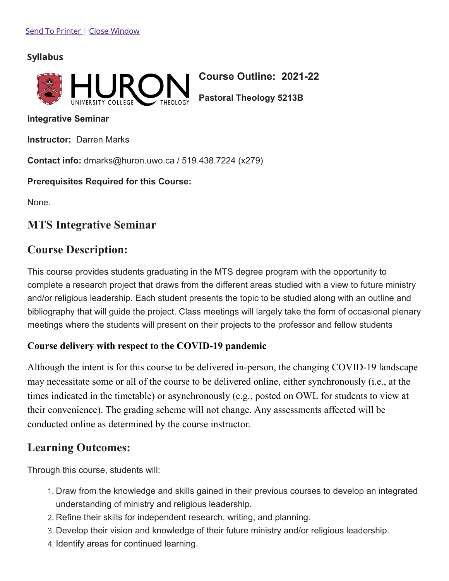### Syllabus



**Course Outline: 2021-22**

**Pastoral Theology 5213B**

**Integrative Seminar**

**Instructor:** Darren Marks

**Contact info:** dmarks@huron.uwo.ca / 519.438.7224 (x279)

**Prerequisites Required for this Course:**

None.

## **MTS Integrative Seminar**

## **Course Description:**

This course provides students graduating in the MTS degree program with the opportunity to complete a research project that draws from the different areas studied with a view to future ministry and/or religious leadership. Each student presents the topic to be studied along with an outline and bibliography that will guide the project. Class meetings will largely take the form of occasional plenary meetings where the students will present on their projects to the professor and fellow students

### **Course delivery with respect to the COVID-19 pandemic**

Although the intent is for this course to be delivered in-person, the changing COVID-19 landscape may necessitate some or all of the course to be delivered online, either synchronously (i.e., at the times indicated in the timetable) or asynchronously (e.g., posted on OWL for students to view at their convenience). The grading scheme will not change. Any assessments affected will be conducted online as determined by the course instructor.

## **Learning Outcomes:**

Through this course, students will:

- 1. Draw from the knowledge and skills gained in their previous courses to develop an integrated understanding of ministry and religious leadership.
- 2. Refine their skills for independent research, writing, and planning.
- 3. Develop their vision and knowledge of their future ministry and/or religious leadership.
- 4. Identify areas for continued learning.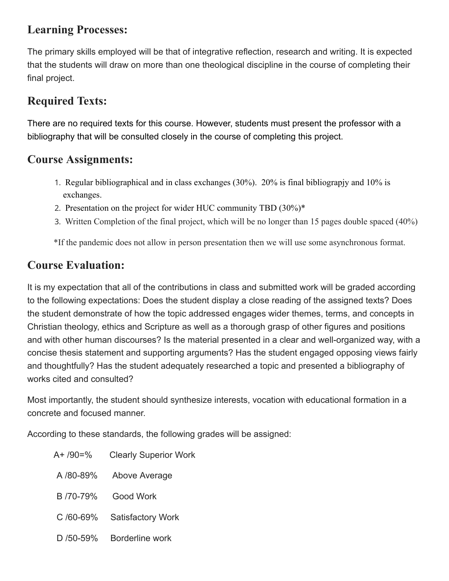## **Learning Processes:**

The primary skills employed will be that of integrative reflection, research and writing. It is expected that the students will draw on more than one theological discipline in the course of completing their final project.

# **Required Texts:**

There are no required texts for this course. However, students must present the professor with a bibliography that will be consulted closely in the course of completing this project.

## **Course Assignments:**

- 1. Regular bibliographical and in class exchanges (30%). 20% is final bibliograpjy and 10% is exchanges.
- 2. Presentation on the project for wider HUC community TBD (30%)\*
- 3. Written Completion of the final project, which will be no longer than 15 pages double spaced (40%)

\*If the pandemic does not allow in person presentation then we will use some asynchronous format.

# **Course Evaluation:**

It is my expectation that all of the contributions in class and submitted work will be graded according to the following expectations: Does the student display a close reading of the assigned texts? Does the student demonstrate of how the topic addressed engages wider themes, terms, and concepts in Christian theology, ethics and Scripture as well as a thorough grasp of other figures and positions and with other human discourses? Is the material presented in a clear and well-organized way, with a concise thesis statement and supporting arguments? Has the student engaged opposing views fairly and thoughtfully? Has the student adequately researched a topic and presented a bibliography of works cited and consulted?

Most importantly, the student should synthesize interests, vocation with educational formation in a concrete and focused manner.

According to these standards, the following grades will be assigned:

| A+ /90=% | <b>Clearly Superior Work</b> |
|----------|------------------------------|
|          |                              |

- A /80-89% Above Average
- B /70-79% Good Work
- C /60-69% Satisfactory Work
- D /50-59% Borderline work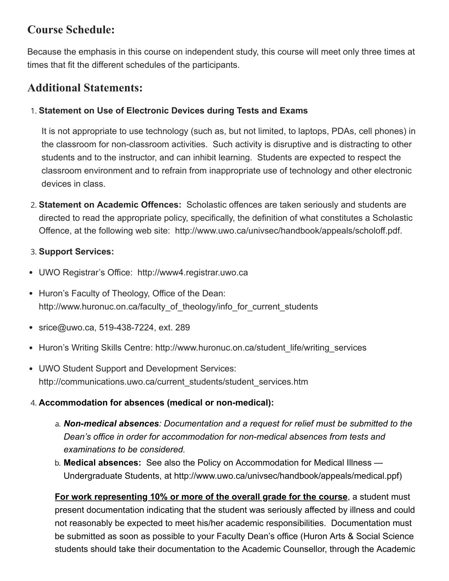## **Course Schedule:**

Because the emphasis in this course on independent study, this course will meet only three times at times that fit the different schedules of the participants.

## **Additional Statements:**

### 1. **Statement on Use of Electronic Devices during Tests and Exams**

It is not appropriate to use technology (such as, but not limited, to laptops, PDAs, cell phones) in the classroom for non-classroom activities. Such activity is disruptive and is distracting to other students and to the instructor, and can inhibit learning. Students are expected to respect the classroom environment and to refrain from inappropriate use of technology and other electronic devices in class.

2. **Statement on Academic Offences:** Scholastic offences are taken seriously and students are directed to read the appropriate policy, specifically, the definition of what constitutes a Scholastic Offence, at the following web site: http://www.uwo.ca/univsec/handbook/appeals/scholoff.pdf.

### 3. **Support Services:**

- UWO Registrar's Office: http://www4.registrar.uwo.ca
- Huron's Faculty of Theology, Office of the Dean: http://www.huronuc.on.ca/faculty of theology/info for current students
- srice@uwo.ca, 519-438-7224, ext. 289
- Huron's Writing Skills Centre: http://www.huronuc.on.ca/student\_life/writing\_services
- UWO Student Support and Development Services: http://communications.uwo.ca/current\_students/student\_services.htm

### 4. **Accommodation for absences (medical or non-medical):**

- a. *Non-medical absences: Documentation and a request for relief must be submitted to the Dean's office in order for accommodation for non-medical absences from tests and examinations to be considered.*
- b. **Medical absences:** See also the Policy on Accommodation for Medical Illness Undergraduate Students, at http://www.uwo.ca/univsec/handbook/appeals/medical.ppf)

**For work representing 10% or more of the overall grade for the course**, a student must present documentation indicating that the student was seriously affected by illness and could not reasonably be expected to meet his/her academic responsibilities. Documentation must be submitted as soon as possible to your Faculty Dean's office (Huron Arts & Social Science students should take their documentation to the Academic Counsellor, through the Academic